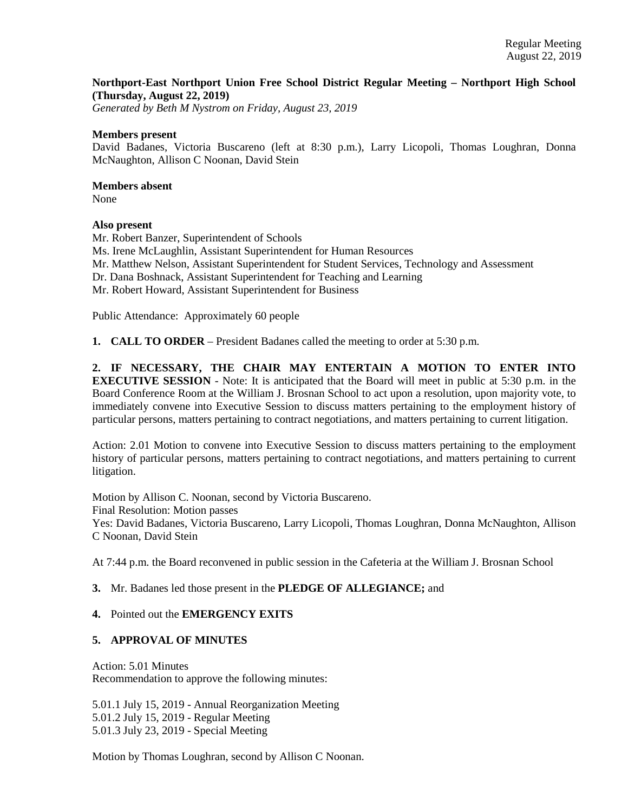# **Northport-East Northport Union Free School District Regular Meeting – Northport High School (Thursday, August 22, 2019)**

*Generated by Beth M Nystrom on Friday, August 23, 2019*

#### **Members present**

David Badanes, Victoria Buscareno (left at 8:30 p.m.), Larry Licopoli, Thomas Loughran, Donna McNaughton, Allison C Noonan, David Stein

### **Members absent**

None

# **Also present**

Mr. Robert Banzer, Superintendent of Schools Ms. Irene McLaughlin, Assistant Superintendent for Human Resources Mr. Matthew Nelson, Assistant Superintendent for Student Services, Technology and Assessment Dr. Dana Boshnack, Assistant Superintendent for Teaching and Learning Mr. Robert Howard, Assistant Superintendent for Business

Public Attendance: Approximately 60 people

**1. CALL TO ORDER** – President Badanes called the meeting to order at 5:30 p.m.

**2. IF NECESSARY, THE CHAIR MAY ENTERTAIN A MOTION TO ENTER INTO EXECUTIVE SESSION** - Note: It is anticipated that the Board will meet in public at 5:30 p.m. in the Board Conference Room at the William J. Brosnan School to act upon a resolution, upon majority vote, to immediately convene into Executive Session to discuss matters pertaining to the employment history of particular persons, matters pertaining to contract negotiations, and matters pertaining to current litigation.

Action: 2.01 Motion to convene into Executive Session to discuss matters pertaining to the employment history of particular persons, matters pertaining to contract negotiations, and matters pertaining to current litigation.

Motion by Allison C. Noonan, second by Victoria Buscareno. Final Resolution: Motion passes Yes: David Badanes, Victoria Buscareno, Larry Licopoli, Thomas Loughran, Donna McNaughton, Allison C Noonan, David Stein

At 7:44 p.m. the Board reconvened in public session in the Cafeteria at the William J. Brosnan School

# **3.** Mr. Badanes led those present in the **PLEDGE OF ALLEGIANCE;** and

# **4.** Pointed out the **EMERGENCY EXITS**

# **5. APPROVAL OF MINUTES**

Action: 5.01 Minutes Recommendation to approve the following minutes:

5.01.1 July 15, 2019 - Annual Reorganization Meeting 5.01.2 July 15, 2019 - Regular Meeting 5.01.3 July 23, 2019 - Special Meeting

Motion by Thomas Loughran, second by Allison C Noonan.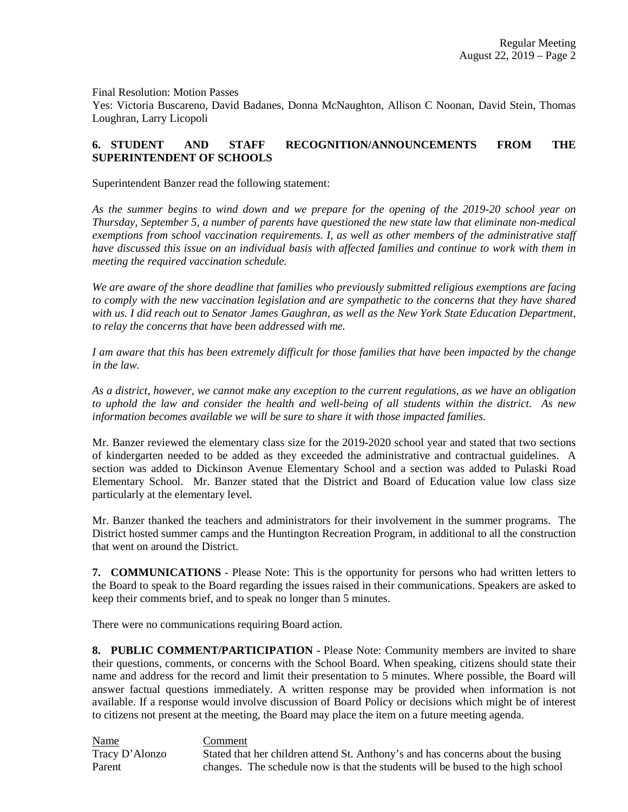Final Resolution: Motion Passes

Yes: Victoria Buscareno, David Badanes, Donna McNaughton, Allison C Noonan, David Stein, Thomas Loughran, Larry Licopoli

# **6. STUDENT AND STAFF RECOGNITION/ANNOUNCEMENTS FROM THE SUPERINTENDENT OF SCHOOLS**

Superintendent Banzer read the following statement:

*As the summer begins to wind down and we prepare for the opening of the 2019-20 school year on Thursday, September 5, a number of parents have questioned the new state law that eliminate non-medical exemptions from school vaccination requirements. I, as well as other members of the administrative staff have discussed this issue on an individual basis with affected families and continue to work with them in meeting the required vaccination schedule.* 

*We are aware of the shore deadline that families who previously submitted religious exemptions are facing to comply with the new vaccination legislation and are sympathetic to the concerns that they have shared with us. I did reach out to Senator James Gaughran, as well as the New York State Education Department, to relay the concerns that have been addressed with me.* 

*I am aware that this has been extremely difficult for those families that have been impacted by the change in the law.* 

*As a district, however, we cannot make any exception to the current regulations, as we have an obligation to uphold the law and consider the health and well-being of all students within the district. As new information becomes available we will be sure to share it with those impacted families.* 

Mr. Banzer reviewed the elementary class size for the 2019-2020 school year and stated that two sections of kindergarten needed to be added as they exceeded the administrative and contractual guidelines. A section was added to Dickinson Avenue Elementary School and a section was added to Pulaski Road Elementary School. Mr. Banzer stated that the District and Board of Education value low class size particularly at the elementary level.

Mr. Banzer thanked the teachers and administrators for their involvement in the summer programs. The District hosted summer camps and the Huntington Recreation Program, in additional to all the construction that went on around the District.

**7. COMMUNICATIONS** - Please Note: This is the opportunity for persons who had written letters to the Board to speak to the Board regarding the issues raised in their communications. Speakers are asked to keep their comments brief, and to speak no longer than 5 minutes.

There were no communications requiring Board action.

**8. PUBLIC COMMENT/PARTICIPATION** - Please Note: Community members are invited to share their questions, comments, or concerns with the School Board. When speaking, citizens should state their name and address for the record and limit their presentation to 5 minutes. Where possible, the Board will answer factual questions immediately. A written response may be provided when information is not available. If a response would involve discussion of Board Policy or decisions which might be of interest to citizens not present at the meeting, the Board may place the item on a future meeting agenda.

Name Comment Tracy D'Alonzo Stated that her children attend St. Anthony's and has concerns about the busing Parent changes. The schedule now is that the students will be bused to the high school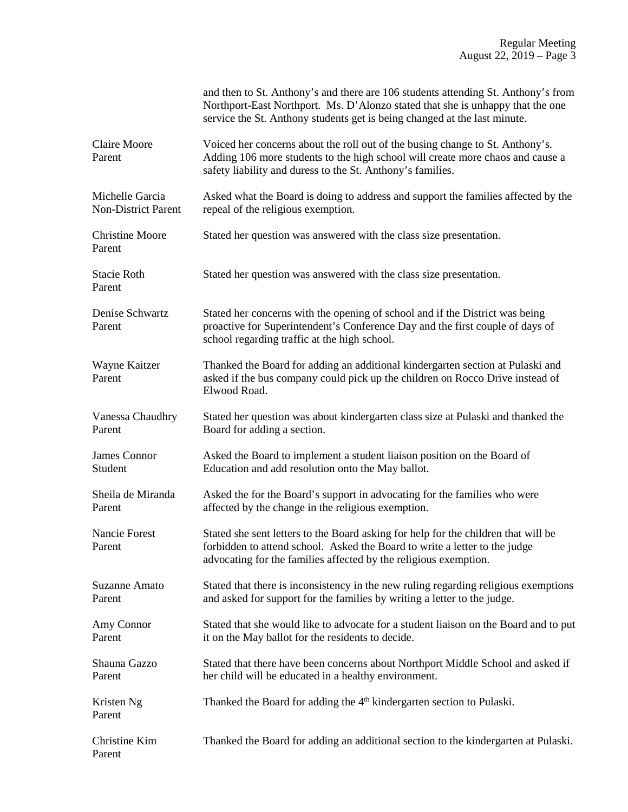|                                               | and then to St. Anthony's and there are 106 students attending St. Anthony's from<br>Northport-East Northport. Ms. D'Alonzo stated that she is unhappy that the one<br>service the St. Anthony students get is being changed at the last minute. |
|-----------------------------------------------|--------------------------------------------------------------------------------------------------------------------------------------------------------------------------------------------------------------------------------------------------|
| <b>Claire Moore</b><br>Parent                 | Voiced her concerns about the roll out of the busing change to St. Anthony's.<br>Adding 106 more students to the high school will create more chaos and cause a<br>safety liability and duress to the St. Anthony's families.                    |
| Michelle Garcia<br><b>Non-District Parent</b> | Asked what the Board is doing to address and support the families affected by the<br>repeal of the religious exemption.                                                                                                                          |
| <b>Christine Moore</b><br>Parent              | Stated her question was answered with the class size presentation.                                                                                                                                                                               |
| <b>Stacie Roth</b><br>Parent                  | Stated her question was answered with the class size presentation.                                                                                                                                                                               |
| Denise Schwartz<br>Parent                     | Stated her concerns with the opening of school and if the District was being<br>proactive for Superintendent's Conference Day and the first couple of days of<br>school regarding traffic at the high school.                                    |
| Wayne Kaitzer<br>Parent                       | Thanked the Board for adding an additional kindergarten section at Pulaski and<br>asked if the bus company could pick up the children on Rocco Drive instead of<br>Elwood Road.                                                                  |
| Vanessa Chaudhry<br>Parent                    | Stated her question was about kindergarten class size at Pulaski and thanked the<br>Board for adding a section.                                                                                                                                  |
| James Connor<br>Student                       | Asked the Board to implement a student liaison position on the Board of<br>Education and add resolution onto the May ballot.                                                                                                                     |
| Sheila de Miranda<br>Parent                   | Asked the for the Board's support in advocating for the families who were<br>affected by the change in the religious exemption.                                                                                                                  |
| Nancie Forest<br>Parent                       | Stated she sent letters to the Board asking for help for the children that will be<br>forbidden to attend school. Asked the Board to write a letter to the judge<br>advocating for the families affected by the religious exemption.             |
| <b>Suzanne Amato</b><br>Parent                | Stated that there is inconsistency in the new ruling regarding religious exemptions<br>and asked for support for the families by writing a letter to the judge.                                                                                  |
| Amy Connor<br>Parent                          | Stated that she would like to advocate for a student liaison on the Board and to put<br>it on the May ballot for the residents to decide.                                                                                                        |
| Shauna Gazzo<br>Parent                        | Stated that there have been concerns about Northport Middle School and asked if<br>her child will be educated in a healthy environment.                                                                                                          |
| Kristen Ng<br>Parent                          | Thanked the Board for adding the 4 <sup>th</sup> kindergarten section to Pulaski.                                                                                                                                                                |
| Christine Kim<br>Parent                       | Thanked the Board for adding an additional section to the kindergarten at Pulaski.                                                                                                                                                               |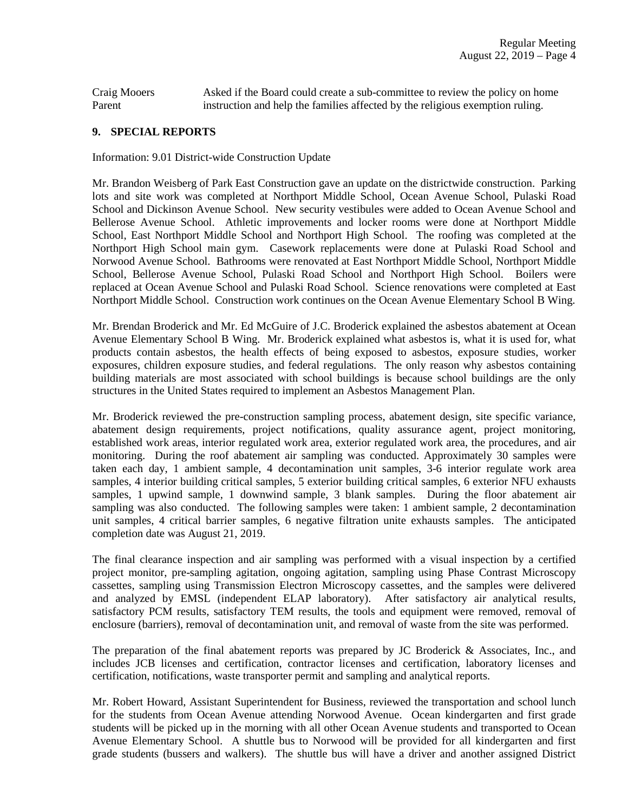Craig Mooers Asked if the Board could create a sub-committee to review the policy on home Parent instruction and help the families affected by the religious exemption ruling.

### **9. SPECIAL REPORTS**

Information: 9.01 District-wide Construction Update

Mr. Brandon Weisberg of Park East Construction gave an update on the districtwide construction. Parking lots and site work was completed at Northport Middle School, Ocean Avenue School, Pulaski Road School and Dickinson Avenue School. New security vestibules were added to Ocean Avenue School and Bellerose Avenue School. Athletic improvements and locker rooms were done at Northport Middle School, East Northport Middle School and Northport High School. The roofing was completed at the Northport High School main gym. Casework replacements were done at Pulaski Road School and Norwood Avenue School. Bathrooms were renovated at East Northport Middle School, Northport Middle School, Bellerose Avenue School, Pulaski Road School and Northport High School. Boilers were replaced at Ocean Avenue School and Pulaski Road School. Science renovations were completed at East Northport Middle School. Construction work continues on the Ocean Avenue Elementary School B Wing.

Mr. Brendan Broderick and Mr. Ed McGuire of J.C. Broderick explained the asbestos abatement at Ocean Avenue Elementary School B Wing. Mr. Broderick explained what asbestos is, what it is used for, what products contain asbestos, the health effects of being exposed to asbestos, exposure studies, worker exposures, children exposure studies, and federal regulations. The only reason why asbestos containing building materials are most associated with school buildings is because school buildings are the only structures in the United States required to implement an Asbestos Management Plan.

Mr. Broderick reviewed the pre-construction sampling process, abatement design, site specific variance, abatement design requirements, project notifications, quality assurance agent, project monitoring, established work areas, interior regulated work area, exterior regulated work area, the procedures, and air monitoring. During the roof abatement air sampling was conducted. Approximately 30 samples were taken each day, 1 ambient sample, 4 decontamination unit samples, 3-6 interior regulate work area samples, 4 interior building critical samples, 5 exterior building critical samples, 6 exterior NFU exhausts samples, 1 upwind sample, 1 downwind sample, 3 blank samples. During the floor abatement air sampling was also conducted. The following samples were taken: 1 ambient sample, 2 decontamination unit samples, 4 critical barrier samples, 6 negative filtration unite exhausts samples. The anticipated completion date was August 21, 2019.

The final clearance inspection and air sampling was performed with a visual inspection by a certified project monitor, pre-sampling agitation, ongoing agitation, sampling using Phase Contrast Microscopy cassettes, sampling using Transmission Electron Microscopy cassettes, and the samples were delivered and analyzed by EMSL (independent ELAP laboratory). After satisfactory air analytical results, satisfactory PCM results, satisfactory TEM results, the tools and equipment were removed, removal of enclosure (barriers), removal of decontamination unit, and removal of waste from the site was performed.

The preparation of the final abatement reports was prepared by JC Broderick & Associates, Inc., and includes JCB licenses and certification, contractor licenses and certification, laboratory licenses and certification, notifications, waste transporter permit and sampling and analytical reports.

Mr. Robert Howard, Assistant Superintendent for Business, reviewed the transportation and school lunch for the students from Ocean Avenue attending Norwood Avenue. Ocean kindergarten and first grade students will be picked up in the morning with all other Ocean Avenue students and transported to Ocean Avenue Elementary School. A shuttle bus to Norwood will be provided for all kindergarten and first grade students (bussers and walkers). The shuttle bus will have a driver and another assigned District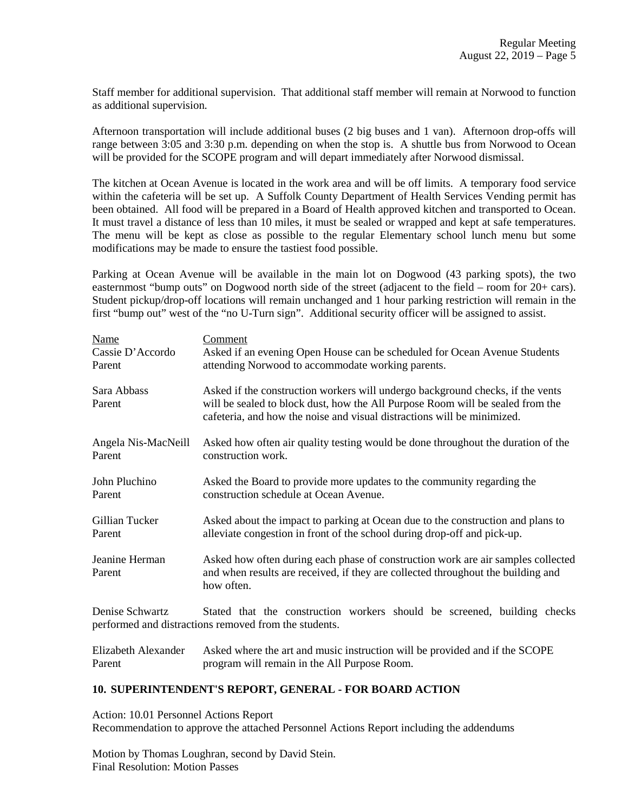Staff member for additional supervision. That additional staff member will remain at Norwood to function as additional supervision.

Afternoon transportation will include additional buses (2 big buses and 1 van). Afternoon drop-offs will range between 3:05 and 3:30 p.m. depending on when the stop is. A shuttle bus from Norwood to Ocean will be provided for the SCOPE program and will depart immediately after Norwood dismissal.

The kitchen at Ocean Avenue is located in the work area and will be off limits. A temporary food service within the cafeteria will be set up. A Suffolk County Department of Health Services Vending permit has been obtained. All food will be prepared in a Board of Health approved kitchen and transported to Ocean. It must travel a distance of less than 10 miles, it must be sealed or wrapped and kept at safe temperatures. The menu will be kept as close as possible to the regular Elementary school lunch menu but some modifications may be made to ensure the tastiest food possible.

Parking at Ocean Avenue will be available in the main lot on Dogwood (43 parking spots), the two easternmost "bump outs" on Dogwood north side of the street (adjacent to the field – room for 20+ cars). Student pickup/drop-off locations will remain unchanged and 1 hour parking restriction will remain in the first "bump out" west of the "no U-Turn sign". Additional security officer will be assigned to assist.

| Name                     | Comment                                                                                                                                                                                                                                     |
|--------------------------|---------------------------------------------------------------------------------------------------------------------------------------------------------------------------------------------------------------------------------------------|
| Cassie D'Accordo         | Asked if an evening Open House can be scheduled for Ocean Avenue Students                                                                                                                                                                   |
| Parent                   | attending Norwood to accommodate working parents.                                                                                                                                                                                           |
| Sara Abbass<br>Parent    | Asked if the construction workers will undergo background checks, if the vents<br>will be sealed to block dust, how the All Purpose Room will be sealed from the<br>cafeteria, and how the noise and visual distractions will be minimized. |
| Angela Nis-MacNeill      | Asked how often air quality testing would be done throughout the duration of the                                                                                                                                                            |
| Parent                   | construction work.                                                                                                                                                                                                                          |
| John Pluchino            | Asked the Board to provide more updates to the community regarding the                                                                                                                                                                      |
| Parent                   | construction schedule at Ocean Avenue.                                                                                                                                                                                                      |
| Gillian Tucker           | Asked about the impact to parking at Ocean due to the construction and plans to                                                                                                                                                             |
| Parent                   | alleviate congestion in front of the school during drop-off and pick-up.                                                                                                                                                                    |
| Jeanine Herman<br>Parent | Asked how often during each phase of construction work are air samples collected<br>and when results are received, if they are collected throughout the building and<br>how often.                                                          |
| Denise Schwartz          | Stated that the construction workers should be screened, building checks<br>performed and distractions removed from the students.                                                                                                           |
|                          | $\Gamma$ lingkath Alayandan - Aglyd ydeng tha ant and mysig instruction will be no cycled and if the COODE                                                                                                                                  |

| Elizabeth Alexander | Asked where the art and music instruction will be provided and if the SCOPE |
|---------------------|-----------------------------------------------------------------------------|
| Parent              | program will remain in the All Purpose Room.                                |

#### **10. SUPERINTENDENT'S REPORT, GENERAL - FOR BOARD ACTION**

Action: 10.01 Personnel Actions Report Recommendation to approve the attached Personnel Actions Report including the addendums

Motion by Thomas Loughran, second by David Stein. Final Resolution: Motion Passes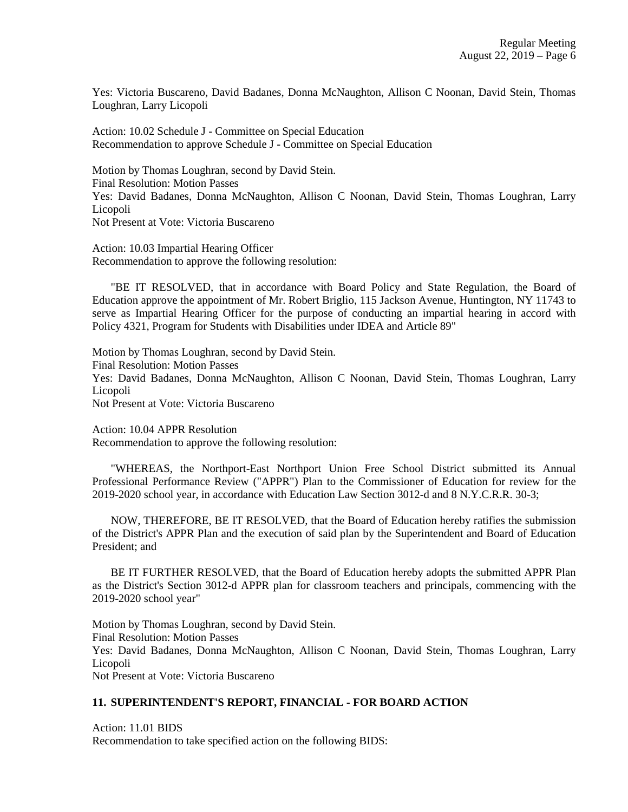Yes: Victoria Buscareno, David Badanes, Donna McNaughton, Allison C Noonan, David Stein, Thomas Loughran, Larry Licopoli

Action: 10.02 Schedule J - Committee on Special Education Recommendation to approve Schedule J - Committee on Special Education

Motion by Thomas Loughran, second by David Stein. Final Resolution: Motion Passes Yes: David Badanes, Donna McNaughton, Allison C Noonan, David Stein, Thomas Loughran, Larry Licopoli Not Present at Vote: Victoria Buscareno

Action: 10.03 Impartial Hearing Officer Recommendation to approve the following resolution:

"BE IT RESOLVED, that in accordance with Board Policy and State Regulation, the Board of Education approve the appointment of Mr. Robert Briglio, 115 Jackson Avenue, Huntington, NY 11743 to serve as Impartial Hearing Officer for the purpose of conducting an impartial hearing in accord with Policy 4321, Program for Students with Disabilities under IDEA and Article 89"

Motion by Thomas Loughran, second by David Stein. Final Resolution: Motion Passes Yes: David Badanes, Donna McNaughton, Allison C Noonan, David Stein, Thomas Loughran, Larry Licopoli

Not Present at Vote: Victoria Buscareno

Action: 10.04 APPR Resolution

Recommendation to approve the following resolution:

"WHEREAS, the Northport-East Northport Union Free School District submitted its Annual Professional Performance Review ("APPR") Plan to the Commissioner of Education for review for the 2019-2020 school year, in accordance with Education Law Section 3012-d and 8 N.Y.C.R.R. 30-3;

NOW, THEREFORE, BE IT RESOLVED, that the Board of Education hereby ratifies the submission of the District's APPR Plan and the execution of said plan by the Superintendent and Board of Education President; and

BE IT FURTHER RESOLVED, that the Board of Education hereby adopts the submitted APPR Plan as the District's Section 3012-d APPR plan for classroom teachers and principals, commencing with the 2019-2020 school year"

Motion by Thomas Loughran, second by David Stein. Final Resolution: Motion Passes Yes: David Badanes, Donna McNaughton, Allison C Noonan, David Stein, Thomas Loughran, Larry Licopoli Not Present at Vote: Victoria Buscareno

# **11. SUPERINTENDENT'S REPORT, FINANCIAL - FOR BOARD ACTION**

Action: 11.01 BIDS Recommendation to take specified action on the following BIDS: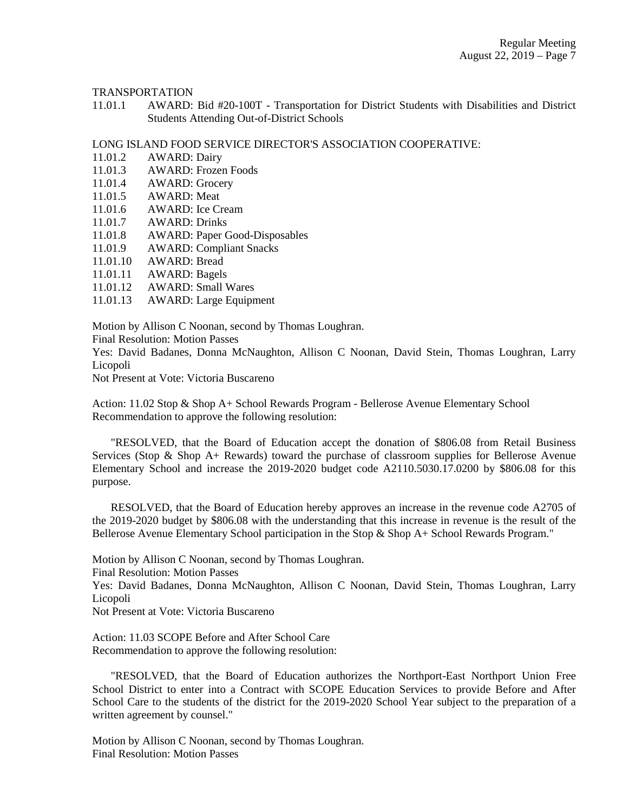TRANSPORTATION

11.01.1 AWARD: Bid #20-100T - Transportation for District Students with Disabilities and District Students Attending Out-of-District Schools

LONG ISLAND FOOD SERVICE DIRECTOR'S ASSOCIATION COOPERATIVE:

- 11.01.2 AWARD: Dairy
- 11.01.3 AWARD: Frozen Foods
- 11.01.4 AWARD: Grocery
- 11.01.5 AWARD: Meat
- 11.01.6 AWARD: Ice Cream
- 11.01.7 AWARD: Drinks
- 11.01.8 AWARD: Paper Good-Disposables
- 11.01.9 AWARD: Compliant Snacks
- 11.01.10 AWARD: Bread
- 11.01.11 AWARD: Bagels
- 11.01.12 AWARD: Small Wares
- 11.01.13 AWARD: Large Equipment

Motion by Allison C Noonan, second by Thomas Loughran.

Final Resolution: Motion Passes

Yes: David Badanes, Donna McNaughton, Allison C Noonan, David Stein, Thomas Loughran, Larry Licopoli

Not Present at Vote: Victoria Buscareno

Action: 11.02 Stop & Shop A+ School Rewards Program - Bellerose Avenue Elementary School Recommendation to approve the following resolution:

"RESOLVED, that the Board of Education accept the donation of \$806.08 from Retail Business Services (Stop & Shop A+ Rewards) toward the purchase of classroom supplies for Bellerose Avenue Elementary School and increase the 2019-2020 budget code A2110.5030.17.0200 by \$806.08 for this purpose.

RESOLVED, that the Board of Education hereby approves an increase in the revenue code A2705 of the 2019-2020 budget by \$806.08 with the understanding that this increase in revenue is the result of the Bellerose Avenue Elementary School participation in the Stop & Shop A+ School Rewards Program."

Motion by Allison C Noonan, second by Thomas Loughran.

Final Resolution: Motion Passes

Yes: David Badanes, Donna McNaughton, Allison C Noonan, David Stein, Thomas Loughran, Larry Licopoli

Not Present at Vote: Victoria Buscareno

Action: 11.03 SCOPE Before and After School Care Recommendation to approve the following resolution:

"RESOLVED, that the Board of Education authorizes the Northport-East Northport Union Free School District to enter into a Contract with SCOPE Education Services to provide Before and After School Care to the students of the district for the 2019-2020 School Year subject to the preparation of a written agreement by counsel."

Motion by Allison C Noonan, second by Thomas Loughran. Final Resolution: Motion Passes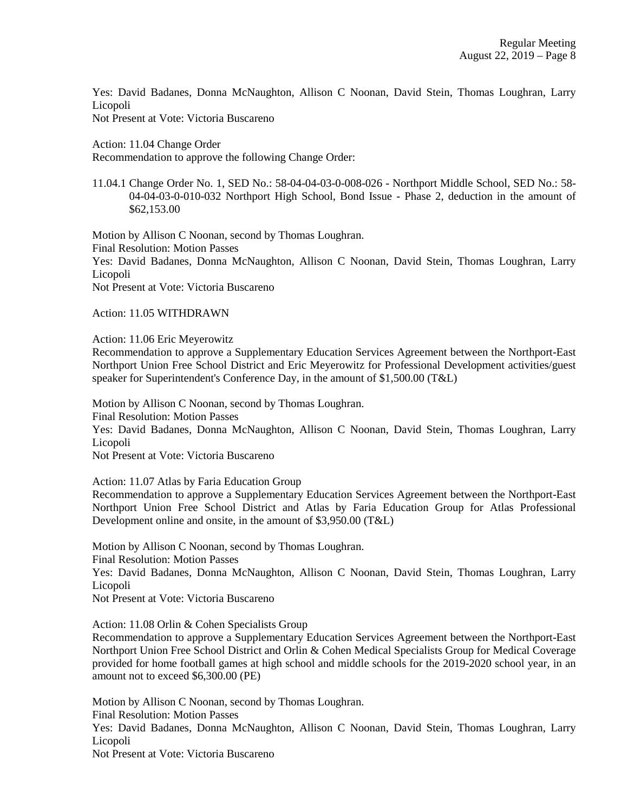Yes: David Badanes, Donna McNaughton, Allison C Noonan, David Stein, Thomas Loughran, Larry Licopoli

Not Present at Vote: Victoria Buscareno

Action: 11.04 Change Order

Recommendation to approve the following Change Order:

11.04.1 Change Order No. 1, SED No.: 58-04-04-03-0-008-026 - Northport Middle School, SED No.: 58- 04-04-03-0-010-032 Northport High School, Bond Issue - Phase 2, deduction in the amount of \$62,153.00

Motion by Allison C Noonan, second by Thomas Loughran. Final Resolution: Motion Passes Yes: David Badanes, Donna McNaughton, Allison C Noonan, David Stein, Thomas Loughran, Larry Licopoli Not Present at Vote: Victoria Buscareno

Action: 11.05 WITHDRAWN

Action: 11.06 Eric Meyerowitz

Recommendation to approve a Supplementary Education Services Agreement between the Northport-East Northport Union Free School District and Eric Meyerowitz for Professional Development activities/guest speaker for Superintendent's Conference Day, in the amount of \$1,500.00 (T&L)

Motion by Allison C Noonan, second by Thomas Loughran. Final Resolution: Motion Passes

Yes: David Badanes, Donna McNaughton, Allison C Noonan, David Stein, Thomas Loughran, Larry Licopoli

Not Present at Vote: Victoria Buscareno

Action: 11.07 Atlas by Faria Education Group

Recommendation to approve a Supplementary Education Services Agreement between the Northport-East Northport Union Free School District and Atlas by Faria Education Group for Atlas Professional Development online and onsite, in the amount of \$3,950.00 (T&L)

Motion by Allison C Noonan, second by Thomas Loughran. Final Resolution: Motion Passes Yes: David Badanes, Donna McNaughton, Allison C Noonan, David Stein, Thomas Loughran, Larry Licopoli Not Present at Vote: Victoria Buscareno

Action: 11.08 Orlin & Cohen Specialists Group

Recommendation to approve a Supplementary Education Services Agreement between the Northport-East Northport Union Free School District and Orlin & Cohen Medical Specialists Group for Medical Coverage provided for home football games at high school and middle schools for the 2019-2020 school year, in an amount not to exceed \$6,300.00 (PE)

Motion by Allison C Noonan, second by Thomas Loughran.

Final Resolution: Motion Passes

Yes: David Badanes, Donna McNaughton, Allison C Noonan, David Stein, Thomas Loughran, Larry Licopoli

Not Present at Vote: Victoria Buscareno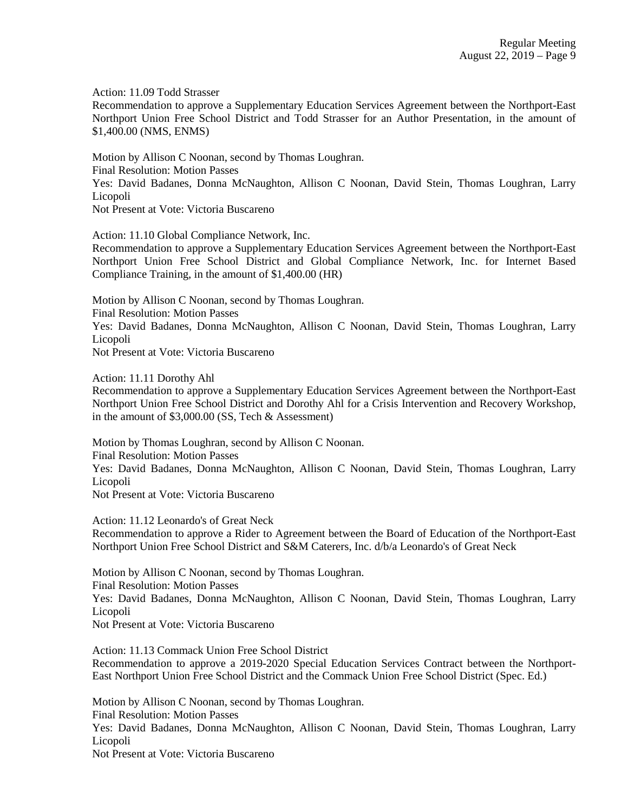Action: 11.09 Todd Strasser

Recommendation to approve a Supplementary Education Services Agreement between the Northport-East Northport Union Free School District and Todd Strasser for an Author Presentation, in the amount of \$1,400.00 (NMS, ENMS)

Motion by Allison C Noonan, second by Thomas Loughran. Final Resolution: Motion Passes Yes: David Badanes, Donna McNaughton, Allison C Noonan, David Stein, Thomas Loughran, Larry Licopoli Not Present at Vote: Victoria Buscareno

Action: 11.10 Global Compliance Network, Inc.

Recommendation to approve a Supplementary Education Services Agreement between the Northport-East Northport Union Free School District and Global Compliance Network, Inc. for Internet Based Compliance Training, in the amount of \$1,400.00 (HR)

Motion by Allison C Noonan, second by Thomas Loughran. Final Resolution: Motion Passes Yes: David Badanes, Donna McNaughton, Allison C Noonan, David Stein, Thomas Loughran, Larry Licopoli

Not Present at Vote: Victoria Buscareno

Action: 11.11 Dorothy Ahl

Recommendation to approve a Supplementary Education Services Agreement between the Northport-East Northport Union Free School District and Dorothy Ahl for a Crisis Intervention and Recovery Workshop, in the amount of \$3,000.00 (SS, Tech & Assessment)

Motion by Thomas Loughran, second by Allison C Noonan. Final Resolution: Motion Passes Yes: David Badanes, Donna McNaughton, Allison C Noonan, David Stein, Thomas Loughran, Larry Licopoli Not Present at Vote: Victoria Buscareno

Action: 11.12 Leonardo's of Great Neck

Recommendation to approve a Rider to Agreement between the Board of Education of the Northport-East Northport Union Free School District and S&M Caterers, Inc. d/b/a Leonardo's of Great Neck

Motion by Allison C Noonan, second by Thomas Loughran. Final Resolution: Motion Passes Yes: David Badanes, Donna McNaughton, Allison C Noonan, David Stein, Thomas Loughran, Larry Licopoli

Not Present at Vote: Victoria Buscareno

Action: 11.13 Commack Union Free School District Recommendation to approve a 2019-2020 Special Education Services Contract between the Northport-East Northport Union Free School District and the Commack Union Free School District (Spec. Ed.)

Motion by Allison C Noonan, second by Thomas Loughran.

Final Resolution: Motion Passes

Yes: David Badanes, Donna McNaughton, Allison C Noonan, David Stein, Thomas Loughran, Larry Licopoli

Not Present at Vote: Victoria Buscareno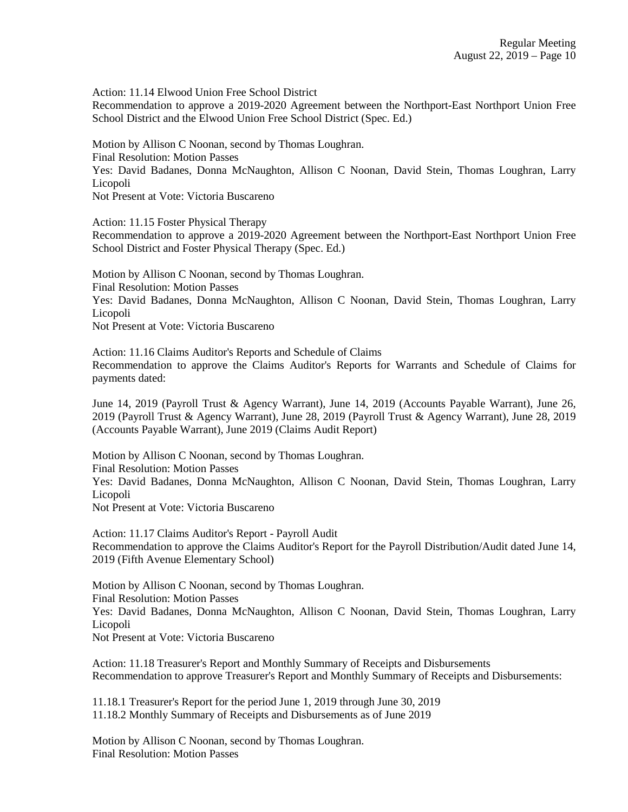Action: 11.14 Elwood Union Free School District

Recommendation to approve a 2019-2020 Agreement between the Northport-East Northport Union Free School District and the Elwood Union Free School District (Spec. Ed.)

Motion by Allison C Noonan, second by Thomas Loughran. Final Resolution: Motion Passes Yes: David Badanes, Donna McNaughton, Allison C Noonan, David Stein, Thomas Loughran, Larry Licopoli Not Present at Vote: Victoria Buscareno

Action: 11.15 Foster Physical Therapy

Recommendation to approve a 2019-2020 Agreement between the Northport-East Northport Union Free School District and Foster Physical Therapy (Spec. Ed.)

Motion by Allison C Noonan, second by Thomas Loughran. Final Resolution: Motion Passes Yes: David Badanes, Donna McNaughton, Allison C Noonan, David Stein, Thomas Loughran, Larry Licopoli Not Present at Vote: Victoria Buscareno

Action: 11.16 Claims Auditor's Reports and Schedule of Claims Recommendation to approve the Claims Auditor's Reports for Warrants and Schedule of Claims for payments dated:

June 14, 2019 (Payroll Trust & Agency Warrant), June 14, 2019 (Accounts Payable Warrant), June 26, 2019 (Payroll Trust & Agency Warrant), June 28, 2019 (Payroll Trust & Agency Warrant), June 28, 2019 (Accounts Payable Warrant), June 2019 (Claims Audit Report)

Motion by Allison C Noonan, second by Thomas Loughran. Final Resolution: Motion Passes Yes: David Badanes, Donna McNaughton, Allison C Noonan, David Stein, Thomas Loughran, Larry Licopoli Not Present at Vote: Victoria Buscareno

Action: 11.17 Claims Auditor's Report - Payroll Audit Recommendation to approve the Claims Auditor's Report for the Payroll Distribution/Audit dated June 14, 2019 (Fifth Avenue Elementary School)

Motion by Allison C Noonan, second by Thomas Loughran. Final Resolution: Motion Passes Yes: David Badanes, Donna McNaughton, Allison C Noonan, David Stein, Thomas Loughran, Larry Licopoli Not Present at Vote: Victoria Buscareno

Action: 11.18 Treasurer's Report and Monthly Summary of Receipts and Disbursements Recommendation to approve Treasurer's Report and Monthly Summary of Receipts and Disbursements:

11.18.1 Treasurer's Report for the period June 1, 2019 through June 30, 2019 11.18.2 Monthly Summary of Receipts and Disbursements as of June 2019

Motion by Allison C Noonan, second by Thomas Loughran. Final Resolution: Motion Passes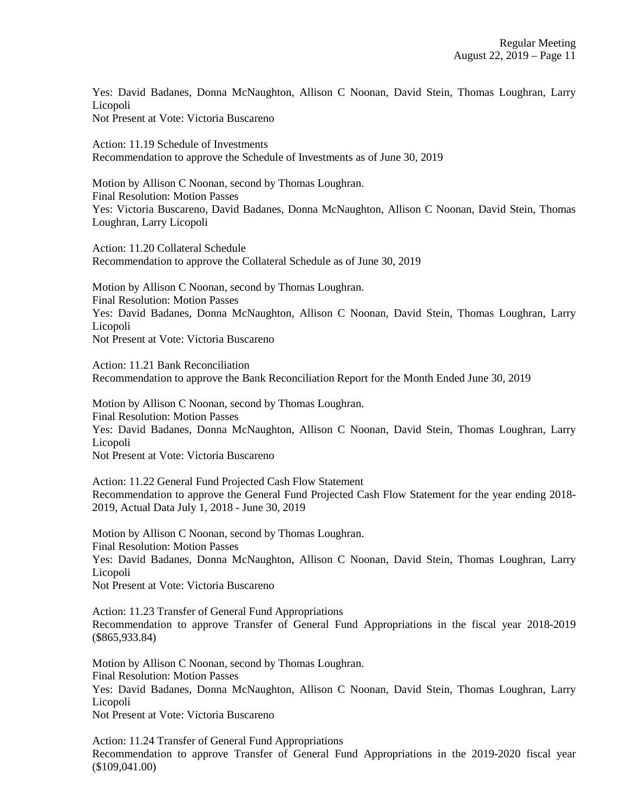Yes: David Badanes, Donna McNaughton, Allison C Noonan, David Stein, Thomas Loughran, Larry Licopoli Not Present at Vote: Victoria Buscareno

Action: 11.19 Schedule of Investments Recommendation to approve the Schedule of Investments as of June 30, 2019

Motion by Allison C Noonan, second by Thomas Loughran. Final Resolution: Motion Passes Yes: Victoria Buscareno, David Badanes, Donna McNaughton, Allison C Noonan, David Stein, Thomas Loughran, Larry Licopoli

Action: 11.20 Collateral Schedule Recommendation to approve the Collateral Schedule as of June 30, 2019

Motion by Allison C Noonan, second by Thomas Loughran. Final Resolution: Motion Passes Yes: David Badanes, Donna McNaughton, Allison C Noonan, David Stein, Thomas Loughran, Larry Licopoli Not Present at Vote: Victoria Buscareno

Action: 11.21 Bank Reconciliation Recommendation to approve the Bank Reconciliation Report for the Month Ended June 30, 2019

Motion by Allison C Noonan, second by Thomas Loughran. Final Resolution: Motion Passes Yes: David Badanes, Donna McNaughton, Allison C Noonan, David Stein, Thomas Loughran, Larry Licopoli Not Present at Vote: Victoria Buscareno

Action: 11.22 General Fund Projected Cash Flow Statement Recommendation to approve the General Fund Projected Cash Flow Statement for the year ending 2018- 2019, Actual Data July 1, 2018 - June 30, 2019

Motion by Allison C Noonan, second by Thomas Loughran. Final Resolution: Motion Passes Yes: David Badanes, Donna McNaughton, Allison C Noonan, David Stein, Thomas Loughran, Larry Licopoli Not Present at Vote: Victoria Buscareno

Action: 11.23 Transfer of General Fund Appropriations Recommendation to approve Transfer of General Fund Appropriations in the fiscal year 2018-2019 (\$865,933.84)

Motion by Allison C Noonan, second by Thomas Loughran. Final Resolution: Motion Passes Yes: David Badanes, Donna McNaughton, Allison C Noonan, David Stein, Thomas Loughran, Larry Licopoli Not Present at Vote: Victoria Buscareno

Action: 11.24 Transfer of General Fund Appropriations Recommendation to approve Transfer of General Fund Appropriations in the 2019-2020 fiscal year (\$109,041.00)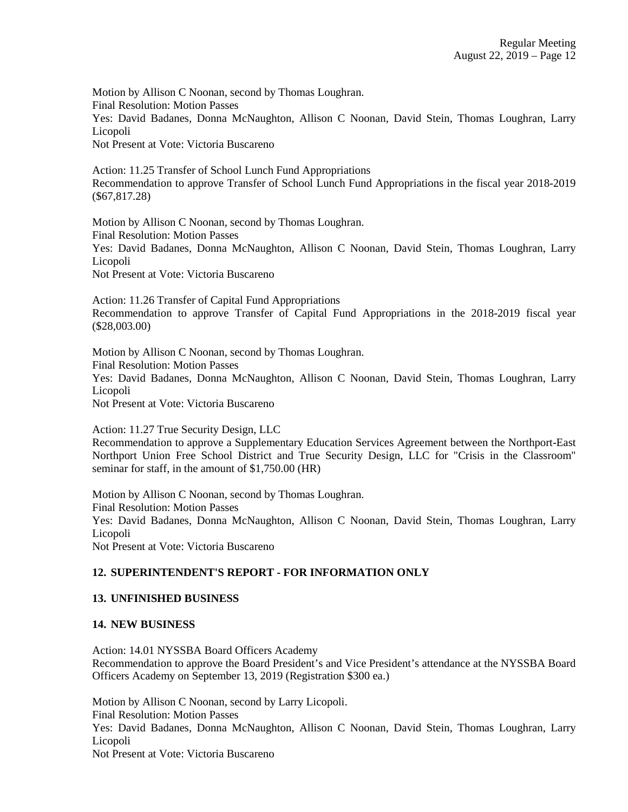Motion by Allison C Noonan, second by Thomas Loughran. Final Resolution: Motion Passes Yes: David Badanes, Donna McNaughton, Allison C Noonan, David Stein, Thomas Loughran, Larry Licopoli Not Present at Vote: Victoria Buscareno

Action: 11.25 Transfer of School Lunch Fund Appropriations Recommendation to approve Transfer of School Lunch Fund Appropriations in the fiscal year 2018-2019 (\$67,817.28)

Motion by Allison C Noonan, second by Thomas Loughran. Final Resolution: Motion Passes Yes: David Badanes, Donna McNaughton, Allison C Noonan, David Stein, Thomas Loughran, Larry Licopoli Not Present at Vote: Victoria Buscareno

Action: 11.26 Transfer of Capital Fund Appropriations Recommendation to approve Transfer of Capital Fund Appropriations in the 2018-2019 fiscal year (\$28,003.00)

Motion by Allison C Noonan, second by Thomas Loughran. Final Resolution: Motion Passes Yes: David Badanes, Donna McNaughton, Allison C Noonan, David Stein, Thomas Loughran, Larry Licopoli Not Present at Vote: Victoria Buscareno

Action: 11.27 True Security Design, LLC Recommendation to approve a Supplementary Education Services Agreement between the Northport-East Northport Union Free School District and True Security Design, LLC for "Crisis in the Classroom" seminar for staff, in the amount of \$1,750.00 (HR)

Motion by Allison C Noonan, second by Thomas Loughran. Final Resolution: Motion Passes Yes: David Badanes, Donna McNaughton, Allison C Noonan, David Stein, Thomas Loughran, Larry Licopoli Not Present at Vote: Victoria Buscareno

# **12. SUPERINTENDENT'S REPORT - FOR INFORMATION ONLY**

# **13. UNFINISHED BUSINESS**

# **14. NEW BUSINESS**

Action: 14.01 NYSSBA Board Officers Academy Recommendation to approve the Board President's and Vice President's attendance at the NYSSBA Board Officers Academy on September 13, 2019 (Registration \$300 ea.)

Motion by Allison C Noonan, second by Larry Licopoli. Final Resolution: Motion Passes Yes: David Badanes, Donna McNaughton, Allison C Noonan, David Stein, Thomas Loughran, Larry Licopoli Not Present at Vote: Victoria Buscareno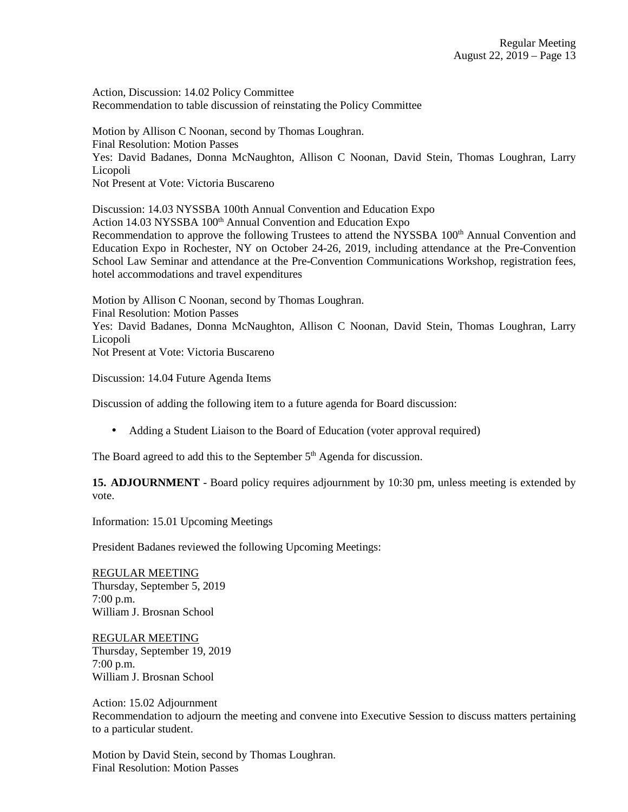Action, Discussion: 14.02 Policy Committee Recommendation to table discussion of reinstating the Policy Committee

Motion by Allison C Noonan, second by Thomas Loughran. Final Resolution: Motion Passes Yes: David Badanes, Donna McNaughton, Allison C Noonan, David Stein, Thomas Loughran, Larry Licopoli Not Present at Vote: Victoria Buscareno

Discussion: 14.03 NYSSBA 100th Annual Convention and Education Expo Action 14.03 NYSSBA 100<sup>th</sup> Annual Convention and Education Expo Recommendation to approve the following Trustees to attend the NYSSBA 100<sup>th</sup> Annual Convention and Education Expo in Rochester, NY on October 24-26, 2019, including attendance at the Pre-Convention School Law Seminar and attendance at the Pre-Convention Communications Workshop, registration fees, hotel accommodations and travel expenditures

Motion by Allison C Noonan, second by Thomas Loughran. Final Resolution: Motion Passes Yes: David Badanes, Donna McNaughton, Allison C Noonan, David Stein, Thomas Loughran, Larry Licopoli Not Present at Vote: Victoria Buscareno

Discussion: 14.04 Future Agenda Items

Discussion of adding the following item to a future agenda for Board discussion:

• Adding a Student Liaison to the Board of Education (voter approval required)

The Board agreed to add this to the September 5<sup>th</sup> Agenda for discussion.

**15. ADJOURNMENT** - Board policy requires adjournment by 10:30 pm, unless meeting is extended by vote.

Information: 15.01 Upcoming Meetings

President Badanes reviewed the following Upcoming Meetings:

REGULAR MEETING Thursday, September 5, 2019 7:00 p.m. William J. Brosnan School

REGULAR MEETING Thursday, September 19, 2019 7:00 p.m. William J. Brosnan School

Action: 15.02 Adjournment Recommendation to adjourn the meeting and convene into Executive Session to discuss matters pertaining to a particular student.

Motion by David Stein, second by Thomas Loughran. Final Resolution: Motion Passes